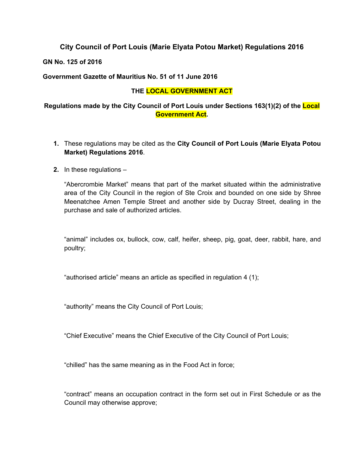## **City Council of Port Louis (Marie Elyata Potou Market) Regulations 2016**

**GN No. 125 of 2016**

**Government Gazette of Mauritius No. 51 of 11 June 2016**

#### **THE LOCAL GOVERNMENT ACT**

**Regulations made by the City Council of Port Louis under Sections 163(1)(2) of the Local Government Act.**

- **1.** These regulations may be cited as the **City Council of Port Louis (Marie Elyata Potou Market) Regulations 2016**.
- **2.** In these regulations –

"Abercrombie Market" means that part of the market situated within the administrative area of the City Council in the region of Ste Croix and bounded on one side by Shree Meenatchee Amen Temple Street and another side by Ducray Street, dealing in the purchase and sale of authorized articles.

"animal" includes ox, bullock, cow, calf, heifer, sheep, pig, goat, deer, rabbit, hare, and poultry;

"authorised article" means an article as specified in regulation 4 (1);

"authority" means the City Council of Port Louis;

"Chief Executive" means the Chief Executive of the City Council of Port Louis;

"chilled" has the same meaning as in the Food Act in force;

"contract" means an occupation contract in the form set out in First Schedule or as the Council may otherwise approve;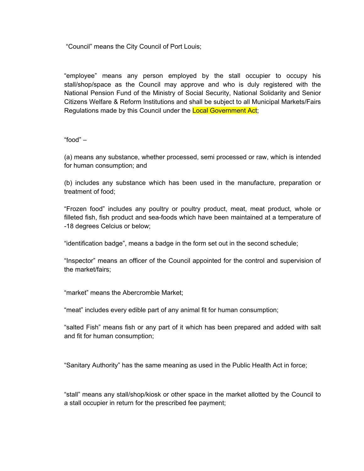"Council" means the City Council of Port Louis;

"employee" means any person employed by the stall occupier to occupy his stall/shop/space as the Council may approve and who is duly registered with the National Pension Fund of the Ministry of Social Security, National Solidarity and Senior Citizens Welfare & Reform Institutions and shall be subject to all Municipal Markets/Fairs Regulations made by this Council under the Local Government Act;

"food" –

(a) means any substance, whether processed, semi processed or raw, which is intended for human consumption; and

(b) includes any substance which has been used in the manufacture, preparation or treatment of food;

"Frozen food" includes any poultry or poultry product, meat, meat product, whole or filleted fish, fish product and sea-foods which have been maintained at a temperature of -18 degrees Celcius or below;

"identification badge", means a badge in the form set out in the second schedule;

"Inspector" means an officer of the Council appointed for the control and supervision of the market/fairs;

"market" means the Abercrombie Market;

"meat" includes every edible part of any animal fit for human consumption;

"salted Fish" means fish or any part of it which has been prepared and added with salt and fit for human consumption;

"Sanitary Authority" has the same meaning as used in the Public Health Act in force;

"stall" means any stall/shop/kiosk or other space in the market allotted by the Council to a stall occupier in return for the prescribed fee payment;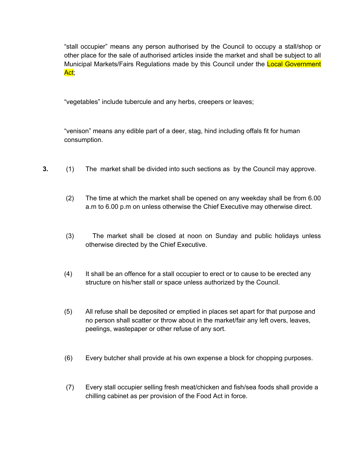"stall occupier" means any person authorised by the Council to occupy a stall/shop or other place for the sale of authorised articles inside the market and shall be subject to all Municipal Markets/Fairs Regulations made by this Council under the Local Government Act;

"vegetables" include tubercule and any herbs, creepers or leaves;

"venison" means any edible part of a deer, stag, hind including offals fit for human consumption.

- **3.** (1) The market shall be divided into such sections as by the Council may approve.
	- (2) The time at which the market shall be opened on any weekday shall be from 6.00 a.m to 6.00 p.m on unless otherwise the Chief Executive may otherwise direct.
	- (3) The market shall be closed at noon on Sunday and public holidays unless otherwise directed by the Chief Executive.
	- (4) It shall be an offence for a stall occupier to erect or to cause to be erected any structure on his/her stall or space unless authorized by the Council.
	- (5) All refuse shall be deposited or emptied in places set apart for that purpose and no person shall scatter or throw about in the market/fair any left overs, leaves, peelings, wastepaper or other refuse of any sort.
	- (6) Every butcher shall provide at his own expense a block for chopping purposes.
	- (7) Every stall occupier selling fresh meat/chicken and fish/sea foods shall provide a chilling cabinet as per provision of the Food Act in force.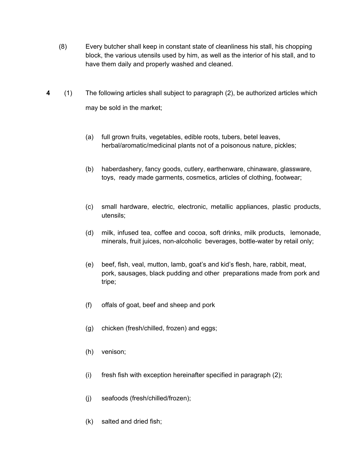- (8) Every butcher shall keep in constant state of cleanliness his stall, his chopping block, the various utensils used by him, as well as the interior of his stall, and to have them daily and properly washed and cleaned.
- **4** (1) The following articles shall subject to paragraph (2), be authorized articles which may be sold in the market;
	- (a) full grown fruits, vegetables, edible roots, tubers, betel leaves, herbal/aromatic/medicinal plants not of a poisonous nature, pickles;
	- (b) haberdashery, fancy goods, cutlery, earthenware, chinaware, glassware, toys, ready made garments, cosmetics, articles of clothing, footwear;
	- (c) small hardware, electric, electronic, metallic appliances, plastic products, utensils;
	- (d) milk, infused tea, coffee and cocoa, soft drinks, milk products, lemonade, minerals, fruit juices, non-alcoholic beverages, bottle-water by retail only;
	- (e) beef, fish, veal, mutton, lamb, goat's and kid's flesh, hare, rabbit, meat, pork, sausages, black pudding and other preparations made from pork and tripe;
	- (f) offals of goat, beef and sheep and pork
	- (g) chicken (fresh/chilled, frozen) and eggs;
	- (h) venison;
	- (i) fresh fish with exception hereinafter specified in paragraph (2);
	- (j) seafoods (fresh/chilled/frozen);
	- (k) salted and dried fish;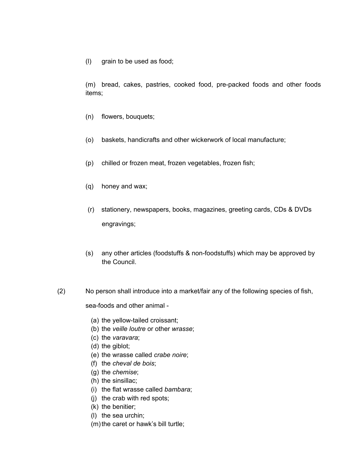(l) grain to be used as food;

(m) bread, cakes, pastries, cooked food, pre-packed foods and other foods items;

- (n) flowers, bouquets;
- (o) baskets, handicrafts and other wickerwork of local manufacture;
- (p) chilled or frozen meat, frozen vegetables, frozen fish;
- (q) honey and wax;
- (r) stationery, newspapers, books, magazines, greeting cards, CDs & DVDs engravings;
- (s) any other articles (foodstuffs & non-foodstuffs) which may be approved by the Council.
- (2) No person shall introduce into a market/fair any of the following species of fish,

sea-foods and other animal -

- (a) the yellow-tailed croissant;
- (b) the *veille loutre* or other *wrasse*;
- (c) the *varavara*;
- (d) the giblot;
- (e) the wrasse called *crabe noire*;
- (f) the *cheval de bois*;
- (g) the *chemise*;
- (h) the sinsillac;
- (i) the flat wrasse called *bambara*;
- (j) the crab with red spots;
- (k) the benitier;
- (l) the sea urchin;
- (m) the caret or hawk's bill turtle;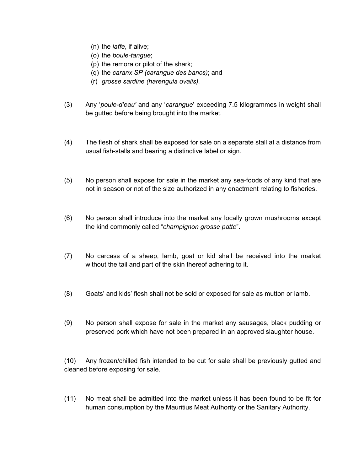- (n) the *laffe*, if alive;
- (o) the *boule-tangue*;
- (p) the remora or pilot of the shark;
- (q) the *caranx SP (carangue des bancs)*; and
- (r) *grosse sardine (harengula ovalis).*
- (3) Any '*poule-d'eau'* and any '*carangue*' exceeding 7.5 kilogrammes in weight shall be gutted before being brought into the market.
- (4) The flesh of shark shall be exposed for sale on a separate stall at a distance from usual fish-stalls and bearing a distinctive label or sign.
- (5) No person shall expose for sale in the market any sea-foods of any kind that are not in season or not of the size authorized in any enactment relating to fisheries.
- (6) No person shall introduce into the market any locally grown mushrooms except the kind commonly called "*champignon grosse patte*".
- (7) No carcass of a sheep, lamb, goat or kid shall be received into the market without the tail and part of the skin thereof adhering to it.
- (8) Goats' and kids' flesh shall not be sold or exposed for sale as mutton or lamb.
- (9) No person shall expose for sale in the market any sausages, black pudding or preserved pork which have not been prepared in an approved slaughter house.

(10) Any frozen/chilled fish intended to be cut for sale shall be previously gutted and cleaned before exposing for sale.

(11) No meat shall be admitted into the market unless it has been found to be fit for human consumption by the Mauritius Meat Authority or the Sanitary Authority.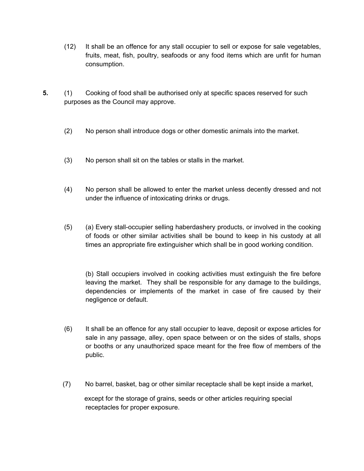- (12) It shall be an offence for any stall occupier to sell or expose for sale vegetables, fruits, meat, fish, poultry, seafoods or any food items which are unfit for human consumption.
- **5.** (1) Cooking of food shall be authorised only at specific spaces reserved for such purposes as the Council may approve.
	- (2) No person shall introduce dogs or other domestic animals into the market.
	- (3) No person shall sit on the tables or stalls in the market.
	- (4) No person shall be allowed to enter the market unless decently dressed and not under the influence of intoxicating drinks or drugs.
	- (5) (a) Every stall-occupier selling haberdashery products, or involved in the cooking of foods or other similar activities shall be bound to keep in his custody at all times an appropriate fire extinguisher which shall be in good working condition.

(b) Stall occupiers involved in cooking activities must extinguish the fire before leaving the market. They shall be responsible for any damage to the buildings, dependencies or implements of the market in case of fire caused by their negligence or default.

- (6) It shall be an offence for any stall occupier to leave, deposit or expose articles for sale in any passage, alley, open space between or on the sides of stalls, shops or booths or any unauthorized space meant for the free flow of members of the public.
- (7) No barrel, basket, bag or other similar receptacle shall be kept inside a market,

 except for the storage of grains, seeds or other articles requiring special receptacles for proper exposure.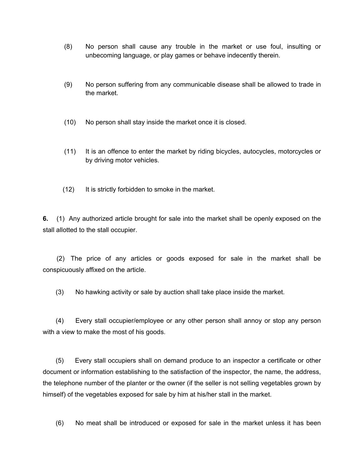- (8) No person shall cause any trouble in the market or use foul, insulting or unbecoming language, or play games or behave indecently therein.
- (9) No person suffering from any communicable disease shall be allowed to trade in the market.
- (10) No person shall stay inside the market once it is closed.
- (11) It is an offence to enter the market by riding bicycles, autocycles, motorcycles or by driving motor vehicles.
- (12) It is strictly forbidden to smoke in the market.

**6.** (1) Any authorized article brought for sale into the market shall be openly exposed on the stall allotted to the stall occupier.

(2) The price of any articles or goods exposed for sale in the market shall be conspicuously affixed on the article.

(3) No hawking activity or sale by auction shall take place inside the market.

(4) Every stall occupier/employee or any other person shall annoy or stop any person with a view to make the most of his goods.

(5)Every stall occupiers shall on demand produce to an inspector a certificate or other document or information establishing to the satisfaction of the inspector, the name, the address, the telephone number of the planter or the owner (if the seller is not selling vegetables grown by himself) of the vegetables exposed for sale by him at his/her stall in the market.

(6) No meat shall be introduced or exposed for sale in the market unless it has been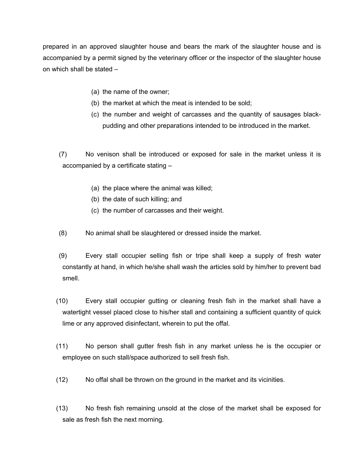prepared in an approved slaughter house and bears the mark of the slaughter house and is accompanied by a permit signed by the veterinary officer or the inspector of the slaughter house on which shall be stated –

- (a) the name of the owner;
- (b) the market at which the meat is intended to be sold;
- (c) the number and weight of carcasses and the quantity of sausages blackpudding and other preparations intended to be introduced in the market.

(7) No venison shall be introduced or exposed for sale in the market unless it is accompanied by a certificate stating –

- (a) the place where the animal was killed;
- (b) the date of such killing; and
- (c) the number of carcasses and their weight.
- (8) No animal shall be slaughtered or dressed inside the market.
- (9) Every stall occupier selling fish or tripe shall keep a supply of fresh water constantly at hand, in which he/she shall wash the articles sold by him/her to prevent bad smell.
- (10) Every stall occupier gutting or cleaning fresh fish in the market shall have a watertight vessel placed close to his/her stall and containing a sufficient quantity of quick lime or any approved disinfectant, wherein to put the offal.
- (11) No person shall gutter fresh fish in any market unless he is the occupier or employee on such stall/space authorized to sell fresh fish.
- (12) No offal shall be thrown on the ground in the market and its vicinities.
- (13) No fresh fish remaining unsold at the close of the market shall be exposed for sale as fresh fish the next morning.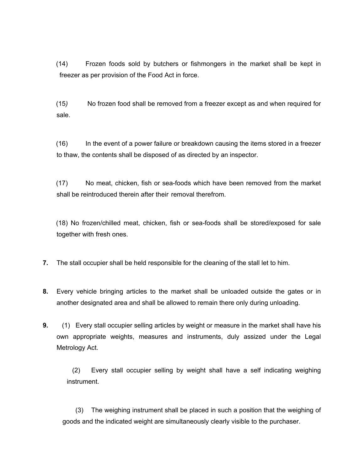(14) Frozen foods sold by butchers or fishmongers in the market shall be kept in freezer as per provision of the Food Act in force.

(15*)* No frozen food shall be removed from a freezer except as and when required for sale.

(16) In the event of a power failure or breakdown causing the items stored in a freezer to thaw, the contents shall be disposed of as directed by an inspector.

(17) No meat, chicken, fish or sea-foods which have been removed from the market shall be reintroduced therein after their removal therefrom.

(18) No frozen/chilled meat, chicken, fish or sea-foods shall be stored/exposed for sale together with fresh ones.

- **7.** The stall occupier shall be held responsible for the cleaning of the stall let to him.
- **8.** Every vehicle bringing articles to the market shall be unloaded outside the gates or in another designated area and shall be allowed to remain there only during unloading.
- **9.** (1) Every stall occupier selling articles by weight or measure in the market shall have his own appropriate weights, measures and instruments, duly assized under the Legal Metrology Act.

(2) Every stall occupier selling by weight shall have a self indicating weighing instrument.

(3) The weighing instrument shall be placed in such a position that the weighing of goods and the indicated weight are simultaneously clearly visible to the purchaser.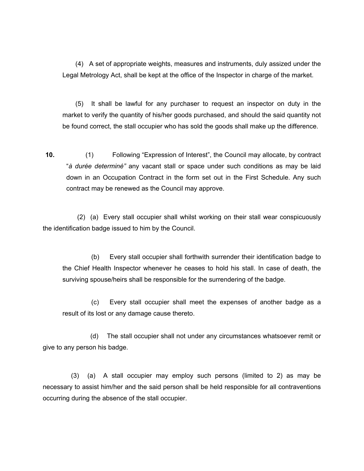(4) A set of appropriate weights, measures and instruments, duly assized under the Legal Metrology Act, shall be kept at the office of the Inspector in charge of the market.

(5) It shall be lawful for any purchaser to request an inspector on duty in the market to verify the quantity of his/her goods purchased, and should the said quantity not be found correct, the stall occupier who has sold the goods shall make up the difference.

**10.** (1) Following "Expression of Interest", the Council may allocate, by contract "*à durée determiné"* any vacant stall or space under such conditions as may be laid down in an Occupation Contract in the form set out in the First Schedule. Any such contract may be renewed as the Council may approve.

(2) (a) Every stall occupier shall whilst working on their stall wear conspicuously the identification badge issued to him by the Council.

(b) Every stall occupier shall forthwith surrender their identification badge to the Chief Health Inspector whenever he ceases to hold his stall. In case of death, the surviving spouse/heirs shall be responsible for the surrendering of the badge.

(c) Every stall occupier shall meet the expenses of another badge as a result of its lost or any damage cause thereto.

 (d) The stall occupier shall not under any circumstances whatsoever remit or give to any person his badge.

 (3) (a) A stall occupier may employ such persons (limited to 2) as may be necessary to assist him/her and the said person shall be held responsible for all contraventions occurring during the absence of the stall occupier.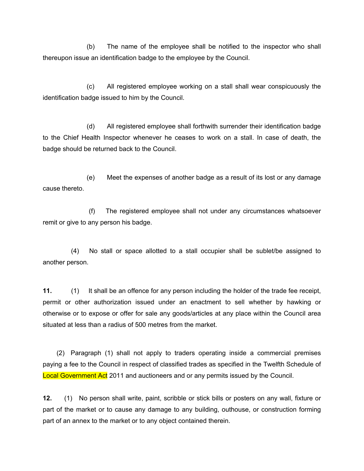(b) The name of the employee shall be notified to the inspector who shall thereupon issue an identification badge to the employee by the Council.

 (c) All registered employee working on a stall shall wear conspicuously the identification badge issued to him by the Council.

 (d) All registered employee shall forthwith surrender their identification badge to the Chief Health Inspector whenever he ceases to work on a stall. In case of death, the badge should be returned back to the Council.

 (e) Meet the expenses of another badge as a result of its lost or any damage cause thereto.

 (f) The registered employee shall not under any circumstances whatsoever remit or give to any person his badge.

 (4)No stall or space allotted to a stall occupier shall be sublet/be assigned to another person.

**11.** (1) It shall be an offence for any person including the holder of the trade fee receipt, permit or other authorization issued under an enactment to sell whether by hawking or otherwise or to expose or offer for sale any goods/articles at any place within the Council area situated at less than a radius of 500 metres from the market.

(2) Paragraph (1) shall not apply to traders operating inside a commercial premises paying a fee to the Council in respect of classified trades as specified in the Twelfth Schedule of Local Government Act 2011 and auctioneers and or any permits issued by the Council.

**12.** (1) No person shall write, paint, scribble or stick bills or posters on any wall, fixture or part of the market or to cause any damage to any building, outhouse, or construction forming part of an annex to the market or to any object contained therein.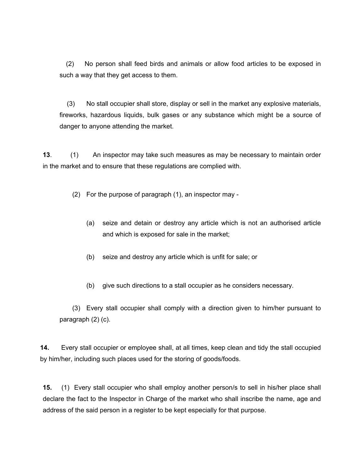(2) No person shall feed birds and animals or allow food articles to be exposed in such a way that they get access to them.

(3) No stall occupier shall store, display or sell in the market any explosive materials, fireworks, hazardous liquids, bulk gases or any substance which might be a source of danger to anyone attending the market.

**13**. (1) An inspector may take such measures as may be necessary to maintain order in the market and to ensure that these regulations are complied with.

(2) For the purpose of paragraph (1), an inspector may -

- (a) seize and detain or destroy any article which is not an authorised article and which is exposed for sale in the market;
- (b) seize and destroy any article which is unfit for sale; or
- (b) give such directions to a stall occupier as he considers necessary.

(3) Every stall occupier shall comply with a direction given to him/her pursuant to paragraph (2) (c).

**14.** Every stall occupier or employee shall, at all times, keep clean and tidy the stall occupied by him/her, including such places used for the storing of goods/foods.

**15.** (1) Every stall occupier who shall employ another person/s to sell in his/her place shall declare the fact to the Inspector in Charge of the market who shall inscribe the name, age and address of the said person in a register to be kept especially for that purpose.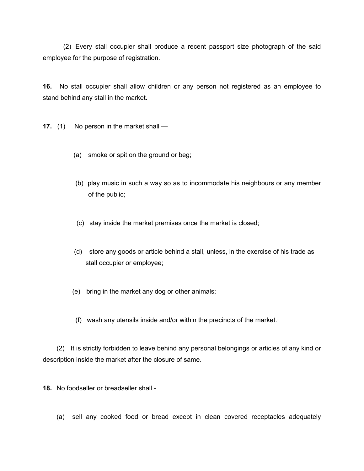(2) Every stall occupier shall produce a recent passport size photograph of the said employee for the purpose of registration.

**16.** No stall occupier shall allow children or any person not registered as an employee to stand behind any stall in the market.

- **17.** (1) No person in the market shall
	- (a) smoke or spit on the ground or beg;
	- (b) play music in such a way so as to incommodate his neighbours or any member of the public;
	- (c) stay inside the market premises once the market is closed;
	- (d) store any goods or article behind a stall, unless, in the exercise of his trade as stall occupier or employee;
	- (e) bring in the market any dog or other animals;
	- (f) wash any utensils inside and/or within the precincts of the market.

(2) It is strictly forbidden to leave behind any personal belongings or articles of any kind or description inside the market after the closure of same.

**18.** No foodseller or breadseller shall -

(a) sell any cooked food or bread except in clean covered receptacles adequately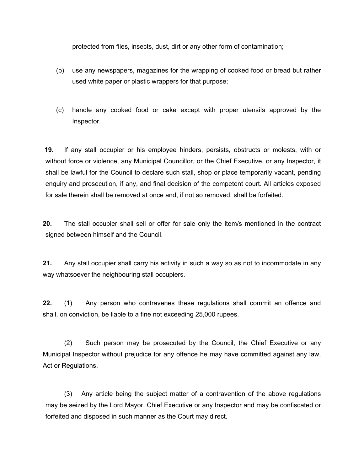protected from flies, insects, dust, dirt or any other form of contamination;

- (b) use any newspapers, magazines for the wrapping of cooked food or bread but rather used white paper or plastic wrappers for that purpose;
- (c) handle any cooked food or cake except with proper utensiIs approved by the Inspector.

**19.** If any stall occupier or his employee hinders, persists, obstructs or molests, with or without force or violence, any Municipal Councillor, or the Chief Executive, or any Inspector, it shall be lawful for the Council to declare such stall, shop or place temporarily vacant, pending enquiry and prosecution, if any, and final decision of the competent court. All articles exposed for sale therein shall be removed at once and, if not so removed, shall be forfeited.

**20.** The stall occupier shall sell or offer for sale only the item/s mentioned in the contract signed between himself and the Council.

**21.** Any stall occupier shall carry his activity in such a way so as not to incommodate in any way whatsoever the neighbouring stall occupiers.

**22.** (1) Any person who contravenes these regulations shall commit an offence and shall, on conviction, be liable to a fine not exceeding 25,000 rupees.

(2) Such person may be prosecuted by the Council, the Chief Executive or any Municipal Inspector without prejudice for any offence he may have committed against any law, Act or Regulations.

(3) Any article being the subject matter of a contravention of the above regulations may be seized by the Lord Mayor, Chief Executive or any Inspector and may be confiscated or forfeited and disposed in such manner as the Court may direct.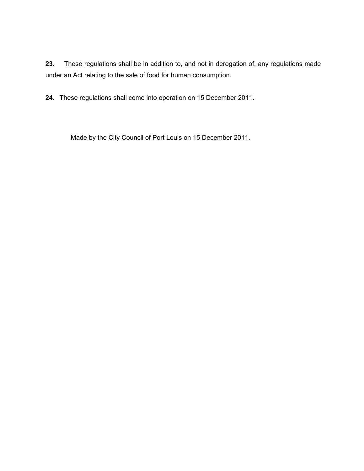**23.** These regulations shall be in addition to, and not in derogation of, any regulations made under an Act relating to the sale of food for human consumption.

**24.** These regulations shall come into operation on 15 December 2011.

Made by the City Council of Port Louis on 15 December 2011.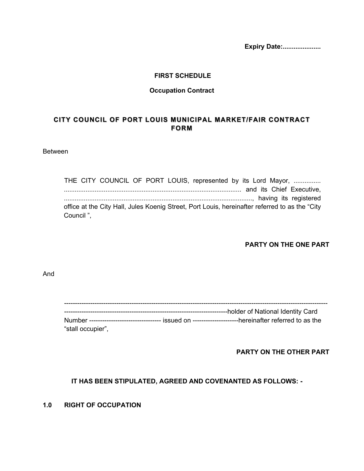**Expiry Date:.....................**

#### **FIRST SCHEDULE**

#### **Occupation Contract**

# **CITY COUNCIL OF PORT LOUIS MUNICIPAL MARKET/FAIR CONTRACT FORM**

#### Between

THE CITY COUNCIL OF PORT LOUIS, represented by its Lord Mayor, ............... .................................................................................................. and its Chief Executive, ........................................................................................................, having its registered office at the City Hall, Jules Koenig Street, Port Louis, hereinafter referred to as the "City Council ",

#### **PARTY ON THE ONE PART**

And

|                   | Number --------------------------------- issued on ---------------------hereinafter referred to as the |
|-------------------|--------------------------------------------------------------------------------------------------------|
| "stall occupier", |                                                                                                        |

#### **PARTY ON THE OTHER PART**

#### **IT HAS BEEN STIPULATED, AGREED AND COVENANTED AS FOLLOWS: -**

#### **1.0 RIGHT OF OCCUPATION**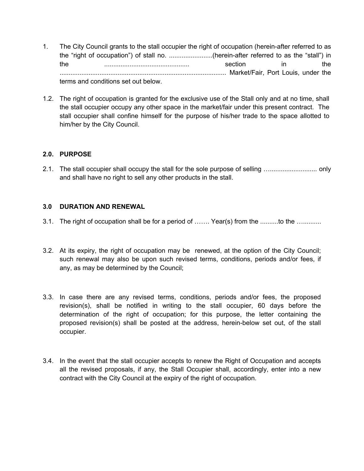- 1. The City Council grants to the stall occupier the right of occupation (herein-after referred to as the "right of occupation") of stall no. ........................(herein-after referred to as the "stall") in the ............................................... section in the ............................................................................................ Market/Fair, Port Louis, under the terms and conditions set out below.
- 1.2. The right of occupation is granted for the exclusive use of the Stall only and at no time, shall the stall occupier occupy any other space in the market/fair under this present contract. The stall occupier shall confine himself for the purpose of his/her trade to the space allotted to him/her by the City Council.

### **2.0. PURPOSE**

2.1. The stall occupier shall occupy the stall for the sole purpose of selling ….......................... only and shall have no right to sell any other products in the stall.

#### **3.0 DURATION AND RENEWAL**

- 3.1. The right of occupation shall be for a period of ……. Year(s) from the ..........to the …..........
- 3.2. At its expiry, the right of occupation may be renewed, at the option of the City Council; such renewal may also be upon such revised terms, conditions, periods and/or fees, if any, as may be determined by the Council;
- 3.3. In case there are any revised terms, conditions, periods and/or fees, the proposed revision(s), shall be notified in writing to the stall occupier, 60 days before the determination of the right of occupation; for this purpose, the letter containing the proposed revision(s) shall be posted at the address, herein-below set out, of the stall occupier.
- 3.4. In the event that the stall occupier accepts to renew the Right of Occupation and accepts all the revised proposals, if any, the Stall Occupier shall, accordingly, enter into a new contract with the City Council at the expiry of the right of occupation.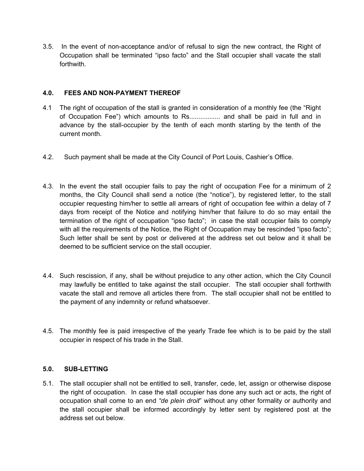3.5. In the event of non-acceptance and/or of refusal to sign the new contract, the Right of Occupation shall be terminated "ipso facto" and the Stall occupier shall vacate the stall forthwith.

### **4.0. FEES AND NON-PAYMENT THEREOF**

- 4.1 The right of occupation of the stall is granted in consideration of a monthly fee (the "Right of Occupation Fee") which amounts to Rs................. and shall be paid in full and in advance by the stall-occupier by the tenth of each month starting by the tenth of the current month.
- 4.2. Such payment shall be made at the City Council of Port Louis, Cashier's Office.
- 4.3. In the event the stall occupier fails to pay the right of occupation Fee for a minimum of 2 months, the City Council shall send a notice (the "notice"), by registered letter, to the stall occupier requesting him/her to settle all arrears of right of occupation fee within a delay of 7 days from receipt of the Notice and notifying him/her that failure to do so may entail the termination of the right of occupation "ipso facto"; in case the stall occupier fails to comply with all the requirements of the Notice, the Right of Occupation may be rescinded "ipso facto"; Such letter shall be sent by post or delivered at the address set out below and it shall be deemed to be sufficient service on the stall occupier.
- 4.4. Such rescission, if any, shall be without prejudice to any other action, which the City Council may lawfully be entitled to take against the stall occupier. The stall occupier shall forthwith vacate the stall and remove all articles there from. The stall occupier shall not be entitled to the payment of any indemnity or refund whatsoever.
- 4.5. The monthly fee is paid irrespective of the yearly Trade fee which is to be paid by the stall occupier in respect of his trade in the Stall.

#### **5.0. SUB-LETTING**

5.1. The stall occupier shall not be entitled to sell, transfer, cede, let, assign or otherwise dispose the right of occupation. In case the stall occupier has done any such act or acts, the right of occupation shall come to an end *"de plein droit*" without any other formality or authority and the stall occupier shall be informed accordingly by letter sent by registered post at the address set out below.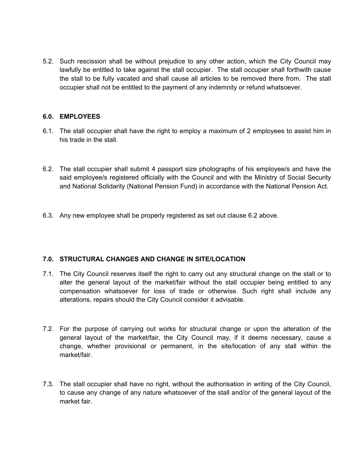5.2. Such rescission shall be without prejudice to any other action, which the City Council may lawfully be entitled to take against the stall occupier. The stall occupier shall forthwith cause the stall to be fully vacated and shall cause all articles to be removed there from. The stall occupier shall not be entitled to the payment of any indemnity or refund whatsoever.

#### **6.0. EMPLOYEES**

- 6.1. The stall occupier shall have the right to employ a maximum of 2 employees to assist him in his trade in the stall.
- 6.2. The stall occupier shall submit 4 passport size photographs of his employee/s and have the said employee/s registered officially with the Council and with the Ministry of Social Security and National Solidarity (National Pension Fund) in accordance with the National Pension Act.
- 6.3. Any new employee shall be properly registered as set out clause 6.2 above.

## **7.0. STRUCTURAL CHANGES AND CHANGE IN SITE/LOCATION**

- 7.1. The City Council reserves itself the right to carry out any structural change on the stall or to alter the general layout of the market/fair without the stall occupier being entitled to any compensation whatsoever for loss of trade or otherwise. Such right shall include any alterations, repairs should the City Council consider it advisable.
- 7.2. For the purpose of carrying out works for structural change or upon the alteration of the general layout of the market/fair, the City Council may, if it deems necessary, cause a change, whether provisional or permanent, in the site/location of any stall within the market/fair.
- 7.3. The stall occupier shall have no right, without the authorisation in writing of the City Council, to cause any change of any nature whatsoever of the stall and/or of the general layout of the market fair.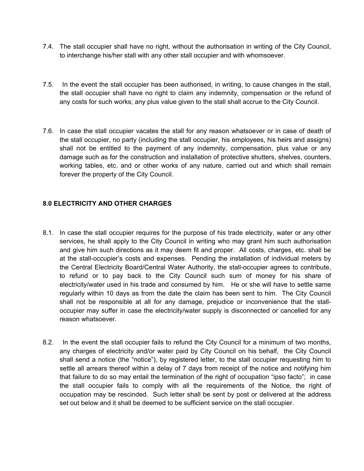- 7.4. The stall occupier shall have no right, without the authorisation in writing of the City Council, to interchange his/her stall with any other stall occupier and with whomsoever.
- 7.5. In the event the stall occupier has been authorised, in writing, to cause changes in the stall, the stall occupier shall have no right to claim any indemnity, compensation or the refund of any costs for such works; any plus value given to the stall shall accrue to the City Council.
- 7.6. In case the stall occupier vacates the stall for any reason whatsoever or in case of death of the stall occupier, no party (including the stall occupier, his employees, his heirs and assigns) shall not be entitled to the payment of any indemnity, compensation, plus value or any damage such as for the construction and installation of protective shutters, shelves, counters, working tables, etc. and or other works of any nature, carried out and which shall remain forever the property of the City Council.

### **8.0 ELECTRICITY AND OTHER CHARGES**

- 8.1. In case the stall occupier requires for the purpose of his trade electricity, water or any other services, he shall apply to the City Council in writing who may grant him such authorisation and give him such directions as it may deem fit and proper. All costs, charges, etc. shall be at the stall-occupier's costs and expenses. Pending the installation of individual meters by the Central Electricity Board/Central Water Authority, the stall-occupier agrees to contribute, to refund or to pay back to the City Council such sum of money for his share of electricity/water used in his trade and consumed by him. He or she will have to settle same regularly within 10 days as from the date the claim has been sent to him. The City Council shall not be responsible at all for any damage, prejudice or inconvenience that the stalloccupier may suffer in case the electricity/water supply is disconnected or cancelled for any reason whatsoever.
- 8.2. In the event the stall occupier fails to refund the City Council for a minimum of two months, any charges of electricity and/or water paid by City Council on his behalf, the City Council shall send a notice (the "notice"), by registered letter, to the stall occupier requesting him to settle all arrears thereof within a delay of 7 days from receipt of the notice and notifying him that failure to do so may entail the termination of the right of occupation "ipso facto"; in case the stall occupier fails to comply with all the requirements of the Notice, the right of occupation may be rescinded. Such letter shall be sent by post or delivered at the address set out below and it shall be deemed to be sufficient service on the stall occupier.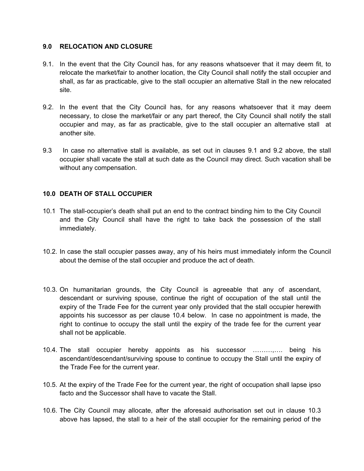#### **9.0 RELOCATION AND CLOSURE**

- 9.1. In the event that the City Council has, for any reasons whatsoever that it may deem fit, to relocate the market/fair to another location, the City Council shall notify the stall occupier and shall, as far as practicable, give to the stall occupier an alternative Stall in the new relocated site.
- 9.2. In the event that the City Council has, for any reasons whatsoever that it may deem necessary, to close the market/fair or any part thereof, the City Council shall notify the stall occupier and may, as far as practicable, give to the stall occupier an alternative stall at another site.
- 9.3 In case no alternative stall is available, as set out in clauses 9.1 and 9.2 above, the stall occupier shall vacate the stall at such date as the Council may direct. Such vacation shall be without any compensation.

### **10.0 DEATH OF STALL OCCUPIER**

- 10.1 The stall-occupier's death shall put an end to the contract binding him to the City Council and the City Council shall have the right to take back the possession of the stall immediately.
- 10.2. In case the stall occupier passes away, any of his heirs must immediately inform the Council about the demise of the stall occupier and produce the act of death.
- 10.3. On humanitarian grounds, the City Council is agreeable that any of ascendant, descendant or surviving spouse, continue the right of occupation of the stall until the expiry of the Trade Fee for the current year only provided that the stall occupier herewith appoints his successor as per clause 10.4 below. In case no appointment is made, the right to continue to occupy the stall until the expiry of the trade fee for the current year shall not be applicable.
- 10.4. The stall occupier hereby appoints as his successor ………,…. being his ascendant/descendant/surviving spouse to continue to occupy the Stall until the expiry of the Trade Fee for the current year.
- 10.5. At the expiry of the Trade Fee for the current year, the right of occupation shall lapse ipso facto and the Successor shall have to vacate the Stall.
- 10.6. The City Council may allocate, after the aforesaid authorisation set out in clause 10.3 above has lapsed, the stall to a heir of the stall occupier for the remaining period of the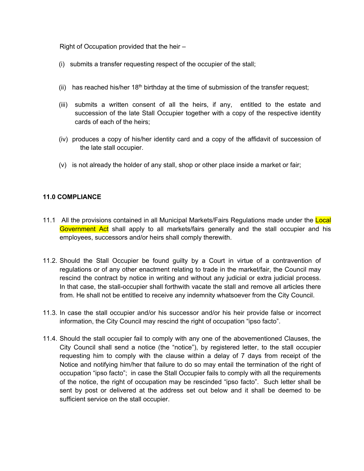Right of Occupation provided that the heir –

- (i) submits a transfer requesting respect of the occupier of the stall;
- (ii) has reached his/her  $18<sup>th</sup>$  birthday at the time of submission of the transfer request;
- (iii) submits a written consent of all the heirs, if any, entitled to the estate and succession of the late Stall Occupier together with a copy of the respective identity cards of each of the heirs;
- (iv) produces a copy of his/her identity card and a copy of the affidavit of succession of the late stall occupier.
- (v) is not already the holder of any stall, shop or other place inside a market or fair;

#### **11.0 COMPLIANCE**

- 11.1 All the provisions contained in all Municipal Markets/Fairs Regulations made under the Local Government Act shall apply to all markets/fairs generally and the stall occupier and his employees, successors and/or heirs shall comply therewith.
- 11.2. Should the Stall Occupier be found guilty by a Court in virtue of a contravention of regulations or of any other enactment relating to trade in the market/fair, the Council may rescind the contract by notice in writing and without any judicial or extra judicial process. In that case, the stall-occupier shall forthwith vacate the stall and remove all articles there from. He shall not be entitled to receive any indemnity whatsoever from the City Council.
- 11.3. In case the stall occupier and/or his successor and/or his heir provide false or incorrect information, the City Council may rescind the right of occupation "ipso facto".
- 11.4. Should the stall occupier fail to comply with any one of the abovementioned Clauses, the City Council shall send a notice (the "notice"), by registered letter, to the stall occupier requesting him to comply with the clause within a delay of 7 days from receipt of the Notice and notifying him/her that failure to do so may entail the termination of the right of occupation "ipso facto"; in case the Stall Occupier fails to comply with all the requirements of the notice, the right of occupation may be rescinded "ipso facto". Such letter shall be sent by post or delivered at the address set out below and it shall be deemed to be sufficient service on the stall occupier.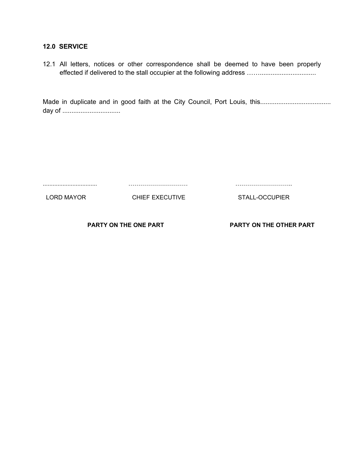#### **12.0 SERVICE**

|  |  |  |  |  |  | 12.1 All letters, notices or other correspondence shall be deemed to have been properly |  |  |  |  |  |  |  |
|--|--|--|--|--|--|-----------------------------------------------------------------------------------------|--|--|--|--|--|--|--|
|  |  |  |  |  |  |                                                                                         |  |  |  |  |  |  |  |

Made in duplicate and in good faith at the City Council, Port Louis, this....................................... day of ................................

| LORD MAYOR | CHIEF EXECUTIVE | STALL-OCCUPIER |
|------------|-----------------|----------------|
|            |                 |                |

**PARTY ON THE ONE PART PARTY ON THE OTHER PART**